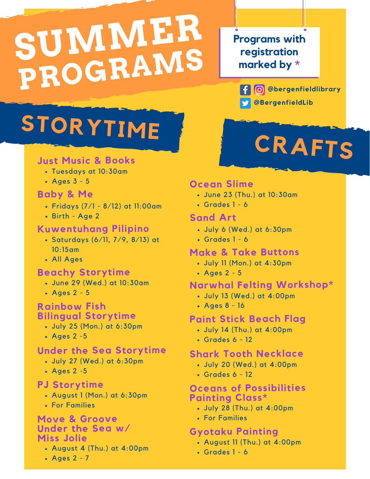## **SUMMER PROGRAMS**

#### **Programs with registration marked by \***

**@bergenfieldlibrary @BergenfieldLib**

**CRAFTS**

### **STORYTIME**

#### **Just Music & Books**

- Tuesdays at 10:30am
- $\cdot$  Ages 3 5

#### **Baby & Me**

- Fridays (7/1 8/12) at 11:00am
- Birth Age 2

#### **Kuwentuhang Pilipino**

- Saturdays (6/11, 7/9, 8/13) at 10:15am
- All Ages

#### **Beachy Storytime**

- June 29 (Wed.) at 10:30am
- Ages 2 5

#### **Rainbow Fish Bilingual Storytime**

- July 25 (Mon.) at 6:30pm
- Ages 2 -5

#### **Under the Sea Storytime**

- July 27 (Wed.) at 6:30pm
- Ages 2 -5

#### **PJ Storytime**

- August 1 (Mon.) at 6:30pm
- For Families

#### **Move & Groove**

#### **Under the Sea w/ Miss Jolie**

- August 4 (Thu.) at 4:00pm
- Ages 2 7

#### **Ocean Slime**

- June 23 (Thu.) at 10:30am
- $\cdot$  Grades 1 6

#### **Sand Art**

- July 6 (Wed.) at 6:30pm
- Grades  $1 6$

#### **Make & Take Buttons**

- July 11 (Mon.) at 4:30pm
- Ages 2 5

#### **Narwhal Felting Workshop\***

- July 13 (Wed.) at 4:00pm
- Ages 8 16

#### **Paint Stick Beach Flag**

- July 14 (Thu.) at 4:00pm
- Grades  $6 12$

#### **Shark Tooth Necklace**

- July 20 (Wed.) at 4:00pm
- Grades 6 12

#### **Oceans of Possibilities Painting Class\***

- July 28 (Thu.) at 4:00pm
- For Families

#### **Gyotaku Painting**

- August 11 (Thu.) at 4:00pm
- Grades 1 6